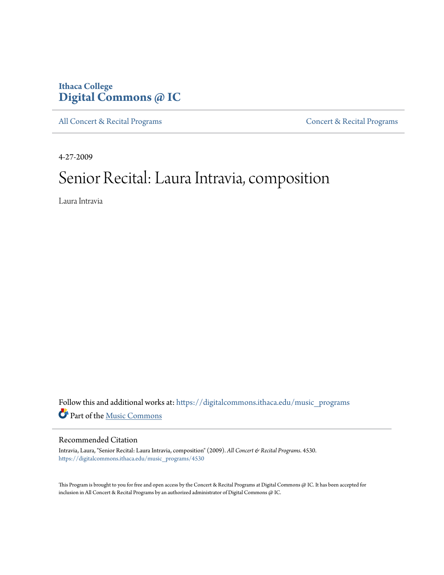### **Ithaca College [Digital Commons @ IC](https://digitalcommons.ithaca.edu?utm_source=digitalcommons.ithaca.edu%2Fmusic_programs%2F4530&utm_medium=PDF&utm_campaign=PDFCoverPages)**

[All Concert & Recital Programs](https://digitalcommons.ithaca.edu/music_programs?utm_source=digitalcommons.ithaca.edu%2Fmusic_programs%2F4530&utm_medium=PDF&utm_campaign=PDFCoverPages) **[Concert & Recital Programs](https://digitalcommons.ithaca.edu/som_programs?utm_source=digitalcommons.ithaca.edu%2Fmusic_programs%2F4530&utm_medium=PDF&utm_campaign=PDFCoverPages)** 

4-27-2009

## Senior Recital: Laura Intravia, composition

Laura Intravia

Follow this and additional works at: [https://digitalcommons.ithaca.edu/music\\_programs](https://digitalcommons.ithaca.edu/music_programs?utm_source=digitalcommons.ithaca.edu%2Fmusic_programs%2F4530&utm_medium=PDF&utm_campaign=PDFCoverPages) Part of the [Music Commons](http://network.bepress.com/hgg/discipline/518?utm_source=digitalcommons.ithaca.edu%2Fmusic_programs%2F4530&utm_medium=PDF&utm_campaign=PDFCoverPages)

#### Recommended Citation

Intravia, Laura, "Senior Recital: Laura Intravia, composition" (2009). *All Concert & Recital Programs*. 4530. [https://digitalcommons.ithaca.edu/music\\_programs/4530](https://digitalcommons.ithaca.edu/music_programs/4530?utm_source=digitalcommons.ithaca.edu%2Fmusic_programs%2F4530&utm_medium=PDF&utm_campaign=PDFCoverPages)

This Program is brought to you for free and open access by the Concert & Recital Programs at Digital Commons @ IC. It has been accepted for inclusion in All Concert & Recital Programs by an authorized administrator of Digital Commons @ IC.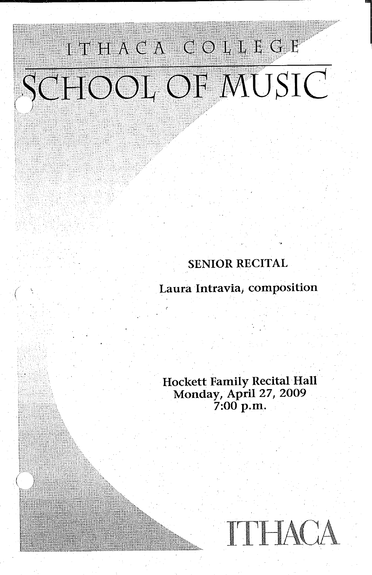# ITHACA COLLEGE SCHOOL OF MUSIC

*(* \

#### SENIOR RECITAL

Laura Intravia, composition

Hockett Family Recital Hall Monday, April 27, 2009 7:00 p.m.

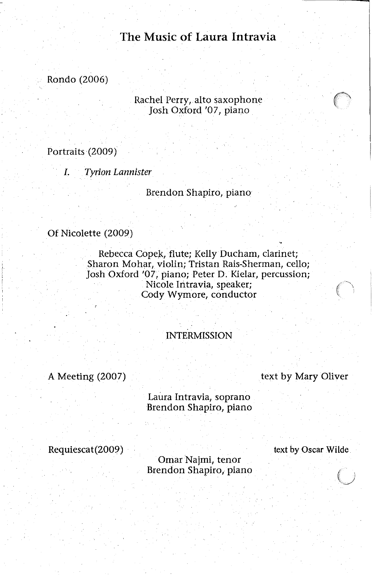#### **The Music of Laura Intravia**

Rondo (2006)

Rachel Perry, alto saxophone Josh Oxford '07, piano

Portraits (2009)

*I. Tyrion Lannister* 

Brendon Shapiro, piano

Of Nicolette (2009)

Rebecca Copek, flute; Kelly Ducham, clarinet; Sharon Mohar, violin; Tristan Rais-Sherman, cello; Josh Oxford '07, piano; Peter D. Kielar, percussion; Nicole Intravia, speaker; Cody Wymore, conductor

INTERMISSION

A Meeting (2007)

text by Mary Oliver

Laura Intravia, soprano Brendon Shapiro, piano

Requiescat(2009)

text by Oscar Wilde

Omar Najmi, tenor Brendon Shapiro, piano